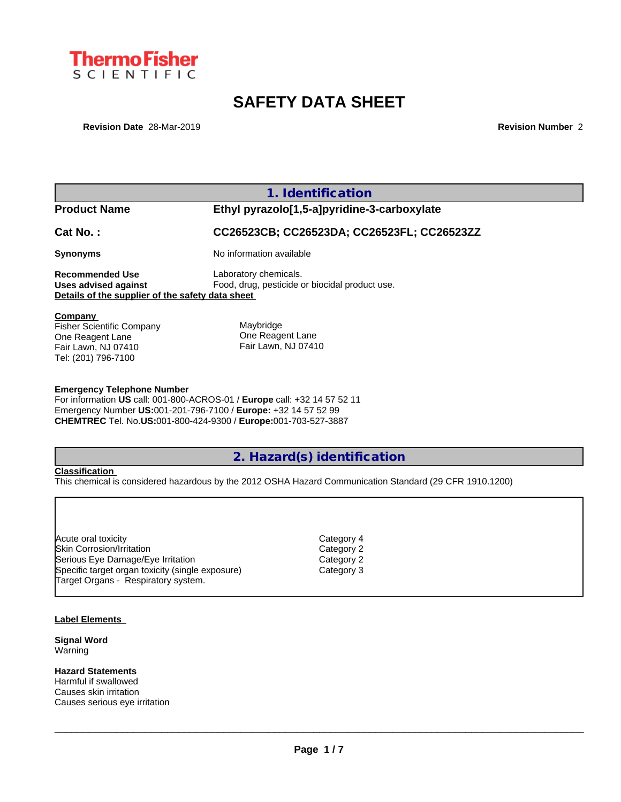

# **SAFETY DATA SHEET**

**Revision Date** 28-Mar-2019 **Revision Number** 2

|                                                  | 1. Identification                              |
|--------------------------------------------------|------------------------------------------------|
| <b>Product Name</b>                              | Ethyl pyrazolo[1,5-a]pyridine-3-carboxylate    |
| $Cat No.$ :                                      | CC26523CB; CC26523DA; CC26523FL; CC26523ZZ     |
| <b>Synonyms</b>                                  | No information available                       |
| <b>Recommended Use</b>                           | Laboratory chemicals.                          |
| Uses advised against                             | Food, drug, pesticide or biocidal product use. |
| Details of the supplier of the safety data sheet |                                                |
| Company<br><b>Fisher Scientific Company</b>      | Maybridge                                      |
| One Reagent Lane                                 | One Reagent Lane                               |
| Fair Lawn, NJ 07410                              | Fair Lawn, NJ 07410                            |
| Tel: (201) 796-7100                              |                                                |

#### **Emergency Telephone Number**

For information **US** call: 001-800-ACROS-01 / **Europe** call: +32 14 57 52 11 Emergency Number **US:**001-201-796-7100 / **Europe:** +32 14 57 52 99 **CHEMTREC** Tel. No.**US:**001-800-424-9300 / **Europe:**001-703-527-3887

# **2. Hazard(s) identification**

Category 4 Category 2 Category 2 Category 3

### **Classification**

This chemical is considered hazardous by the 2012 OSHA Hazard Communication Standard (29 CFR 1910.1200)

#### **Label Elements**

**Signal Word** Warning

**Hazard Statements** Harmful if swallowed Causes skin irritation Causes serious eye irritation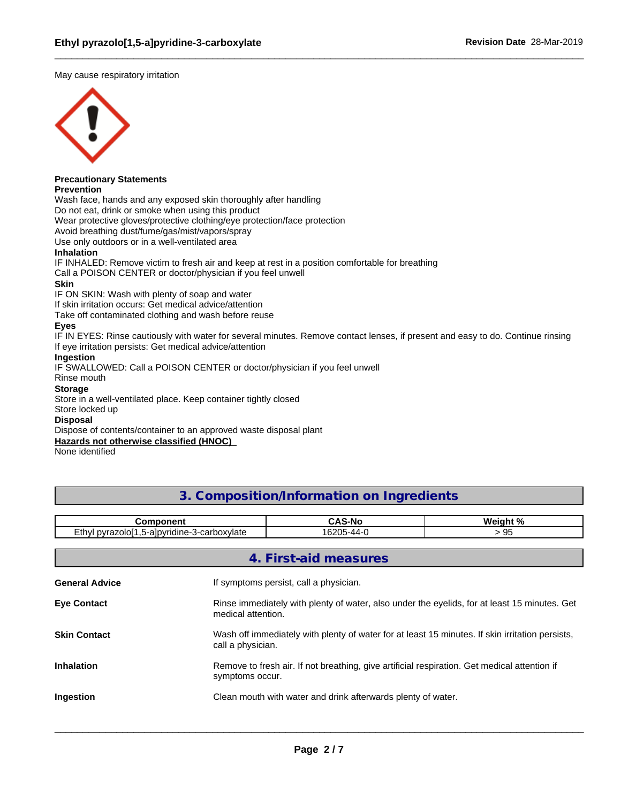May cause respiratory irritation



# **Precautionary Statements**

**Prevention**

Wash face, hands and any exposed skin thoroughly after handling

Do not eat, drink or smoke when using this product

Wear protective gloves/protective clothing/eye protection/face protection

Avoid breathing dust/fume/gas/mist/vapors/spray

Use only outdoors or in a well-ventilated area

### **Inhalation**

IF INHALED: Remove victim to fresh air and keep at rest in a position comfortable for breathing

Call a POISON CENTER or doctor/physician if you feel unwell

### **Skin**

IF ON SKIN: Wash with plenty of soap and water

If skin irritation occurs: Get medical advice/attention

Take off contaminated clothing and wash before reuse

# **Eyes**

IF IN EYES: Rinse cautiously with water for several minutes. Remove contact lenses, if present and easy to do. Continue rinsing If eye irritation persists: Get medical advice/attention

# **Ingestion**

IF SWALLOWED: Call a POISON CENTER or doctor/physician if you feel unwell

# Rinse mouth

# **Storage**

Store in a well-ventilated place. Keep container tightly closed

#### Store locked up

### **Disposal**

Dispose of contents/container to an approved waste disposal plant

**Hazards not otherwise classified (HNOC)**

None identified

# **3. Composition/Information on Ingredients**

| ---------                                    | $\sim$<br><u>¬л.</u><br>-N | <b>د م</b><br><b>Weir</b><br>- - -- - |
|----------------------------------------------|----------------------------|---------------------------------------|
| ∟thv′<br>5-albyridine.<br>carboxylate<br>∩vr | $1000 -$<br>υz<br>. .      | ູ                                     |

|                       | 4. First-aid measures                                                                                                |
|-----------------------|----------------------------------------------------------------------------------------------------------------------|
| <b>General Advice</b> | If symptoms persist, call a physician.                                                                               |
| <b>Eve Contact</b>    | Rinse immediately with plenty of water, also under the eyelids, for at least 15 minutes. Get<br>medical attention.   |
| <b>Skin Contact</b>   | Wash off immediately with plenty of water for at least 15 minutes. If skin irritation persists,<br>call a physician. |
| <b>Inhalation</b>     | Remove to fresh air. If not breathing, give artificial respiration. Get medical attention if<br>symptoms occur.      |
| Ingestion             | Clean mouth with water and drink afterwards plenty of water.                                                         |
|                       |                                                                                                                      |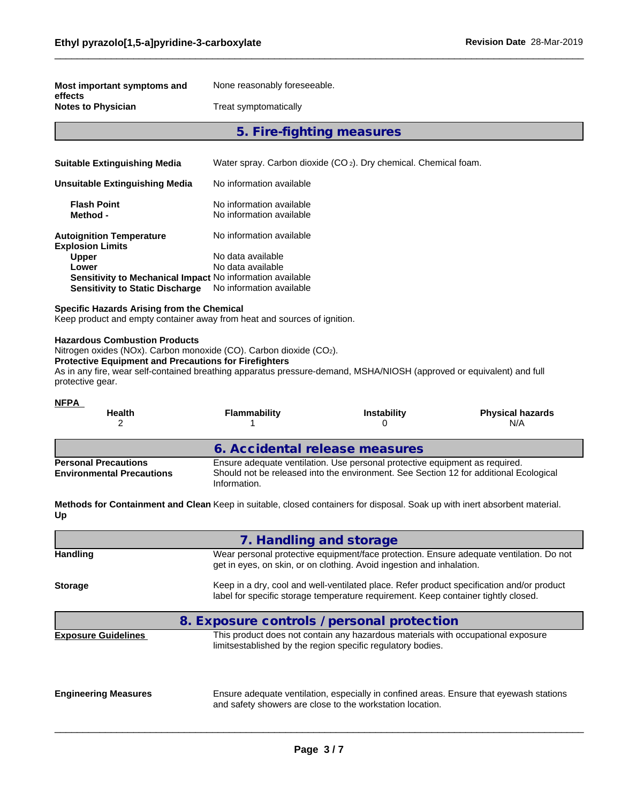| Most important symptoms and                                                                                                                                                                                                                                                                                             | None reasonably foreseeable.                                                 |                         |                                                                                       |
|-------------------------------------------------------------------------------------------------------------------------------------------------------------------------------------------------------------------------------------------------------------------------------------------------------------------------|------------------------------------------------------------------------------|-------------------------|---------------------------------------------------------------------------------------|
| effects<br><b>Notes to Physician</b>                                                                                                                                                                                                                                                                                    | Treat symptomatically                                                        |                         |                                                                                       |
|                                                                                                                                                                                                                                                                                                                         |                                                                              |                         |                                                                                       |
|                                                                                                                                                                                                                                                                                                                         | 5. Fire-fighting measures                                                    |                         |                                                                                       |
| <b>Suitable Extinguishing Media</b>                                                                                                                                                                                                                                                                                     | Water spray. Carbon dioxide (CO <sub>2</sub> ). Dry chemical. Chemical foam. |                         |                                                                                       |
| <b>Unsuitable Extinguishing Media</b>                                                                                                                                                                                                                                                                                   | No information available                                                     |                         |                                                                                       |
| <b>Flash Point</b>                                                                                                                                                                                                                                                                                                      | No information available                                                     |                         |                                                                                       |
| Method -                                                                                                                                                                                                                                                                                                                | No information available                                                     |                         |                                                                                       |
| <b>Autoignition Temperature</b><br><b>Explosion Limits</b>                                                                                                                                                                                                                                                              | No information available                                                     |                         |                                                                                       |
| <b>Upper</b>                                                                                                                                                                                                                                                                                                            | No data available                                                            |                         |                                                                                       |
| Lower                                                                                                                                                                                                                                                                                                                   | No data available                                                            |                         |                                                                                       |
| Sensitivity to Mechanical Impact No information available<br><b>Sensitivity to Static Discharge</b>                                                                                                                                                                                                                     | No information available                                                     |                         |                                                                                       |
| Specific Hazards Arising from the Chemical<br>Keep product and empty container away from heat and sources of ignition.                                                                                                                                                                                                  |                                                                              |                         |                                                                                       |
| <b>Hazardous Combustion Products</b><br>Nitrogen oxides (NOx). Carbon monoxide (CO). Carbon dioxide (CO2).<br><b>Protective Equipment and Precautions for Firefighters</b><br>As in any fire, wear self-contained breathing apparatus pressure-demand, MSHA/NIOSH (approved or equivalent) and full<br>protective gear. |                                                                              |                         |                                                                                       |
| <b>NFPA</b>                                                                                                                                                                                                                                                                                                             |                                                                              |                         |                                                                                       |
| Health<br>2                                                                                                                                                                                                                                                                                                             | <b>Flammability</b><br>1                                                     | <b>Instability</b><br>0 | <b>Physical hazards</b><br>N/A                                                        |
|                                                                                                                                                                                                                                                                                                                         | 6. Accidental release measures                                               |                         |                                                                                       |
| <b>Personal Precautions</b>                                                                                                                                                                                                                                                                                             | Ensure adequate ventilation. Use personal protective equipment as required.  |                         |                                                                                       |
| <b>Environmental Precautions</b>                                                                                                                                                                                                                                                                                        | Information.                                                                 |                         | Should not be released into the environment. See Section 12 for additional Ecological |
| Methods for Containment and Clean Keep in suitable, closed containers for disposal. Soak up with inert absorbent material.<br>Up                                                                                                                                                                                        |                                                                              |                         |                                                                                       |
|                                                                                                                                                                                                                                                                                                                         | 7. Handling and storage                                                      |                         |                                                                                       |

| 7. Hariumiy dhu Storaye                                                                                                                                                         |  |  |  |  |
|---------------------------------------------------------------------------------------------------------------------------------------------------------------------------------|--|--|--|--|
| Wear personal protective equipment/face protection. Ensure adequate ventilation. Do not<br>get in eyes, on skin, or on clothing. Avoid ingestion and inhalation.                |  |  |  |  |
| Keep in a dry, cool and well-ventilated place. Refer product specification and/or product<br>label for specific storage temperature requirement. Keep container tightly closed. |  |  |  |  |
| 8. Exposure controls / personal protection                                                                                                                                      |  |  |  |  |
| This product does not contain any hazardous materials with occupational exposure<br>limitsestablished by the region specific regulatory bodies.                                 |  |  |  |  |
| Ensure adequate ventilation, especially in confined areas. Ensure that eyewash stations<br>and safety showers are close to the workstation location.                            |  |  |  |  |
|                                                                                                                                                                                 |  |  |  |  |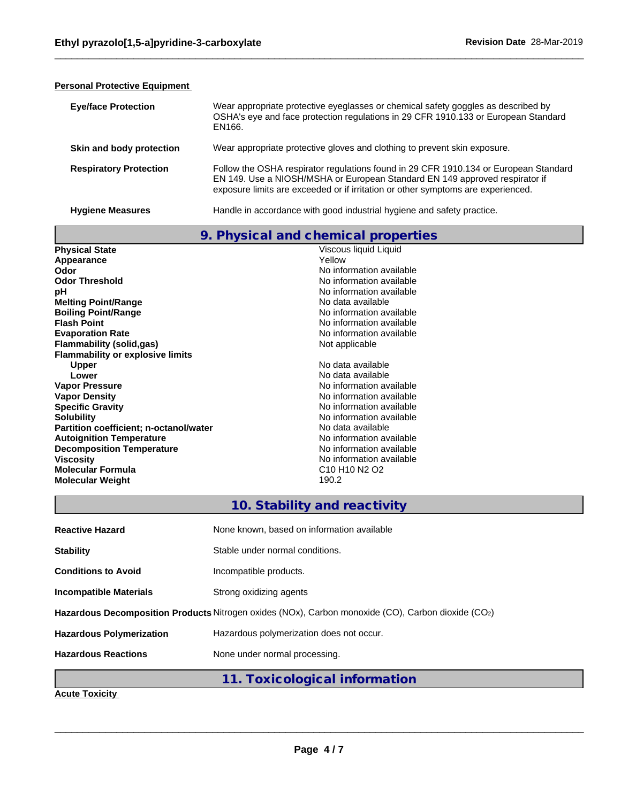# **Personal Protective Equipment**

| <b>Eve/face Protection</b>    | Wear appropriate protective eyeglasses or chemical safety goggles as described by<br>OSHA's eye and face protection regulations in 29 CFR 1910.133 or European Standard<br>EN166.                                                                       |
|-------------------------------|---------------------------------------------------------------------------------------------------------------------------------------------------------------------------------------------------------------------------------------------------------|
| Skin and body protection      | Wear appropriate protective gloves and clothing to prevent skin exposure.                                                                                                                                                                               |
| <b>Respiratory Protection</b> | Follow the OSHA respirator regulations found in 29 CFR 1910.134 or European Standard<br>EN 149. Use a NIOSH/MSHA or European Standard EN 149 approved respirator if<br>exposure limits are exceeded or if irritation or other symptoms are experienced. |

| <b>Hygiene Measures</b> |
|-------------------------|

**Hygiene Measures Handle** in accordance with good industrial hygiene and safety practice.

|                                         | 9. Physical and chemical properties                           |
|-----------------------------------------|---------------------------------------------------------------|
| <b>Physical State</b>                   | Viscous liquid Liquid                                         |
| Appearance                              | Yellow                                                        |
| Odor                                    | No information available                                      |
| <b>Odor Threshold</b>                   | No information available                                      |
| рH                                      | No information available                                      |
| <b>Melting Point/Range</b>              | No data available                                             |
| <b>Boiling Point/Range</b>              | No information available                                      |
| <b>Flash Point</b>                      | No information available                                      |
| <b>Evaporation Rate</b>                 | No information available                                      |
| <b>Flammability (solid,gas)</b>         | Not applicable                                                |
| <b>Flammability or explosive limits</b> |                                                               |
| <b>Upper</b>                            | No data available                                             |
| Lower                                   | No data available                                             |
| <b>Vapor Pressure</b>                   | No information available                                      |
| <b>Vapor Density</b>                    | No information available                                      |
| <b>Specific Gravity</b>                 | No information available                                      |
| <b>Solubility</b>                       | No information available                                      |
| Partition coefficient; n-octanol/water  | No data available                                             |
| <b>Autoignition Temperature</b>         | No information available                                      |
| <b>Decomposition Temperature</b>        | No information available                                      |
| <b>Viscosity</b>                        | No information available                                      |
| <b>Molecular Formula</b>                | C <sub>10</sub> H <sub>10</sub> N <sub>2</sub> O <sub>2</sub> |
| <b>Molecular Weight</b>                 | 190.2                                                         |
|                                         |                                                               |
|                                         | 10. Stability and reactivity                                  |

| <b>Reactive Hazard</b>          | None known, based on information available                                                         |
|---------------------------------|----------------------------------------------------------------------------------------------------|
| <b>Stability</b>                | Stable under normal conditions.                                                                    |
| <b>Conditions to Avoid</b>      | Incompatible products.                                                                             |
| <b>Incompatible Materials</b>   | Strong oxidizing agents                                                                            |
|                                 | Hazardous Decomposition Products Nitrogen oxides (NOx), Carbon monoxide (CO), Carbon dioxide (CO2) |
| <b>Hazardous Polymerization</b> | Hazardous polymerization does not occur.                                                           |
| <b>Hazardous Reactions</b>      | None under normal processing.                                                                      |
|                                 | 11. Toxicological information                                                                      |

**Acute Toxicity**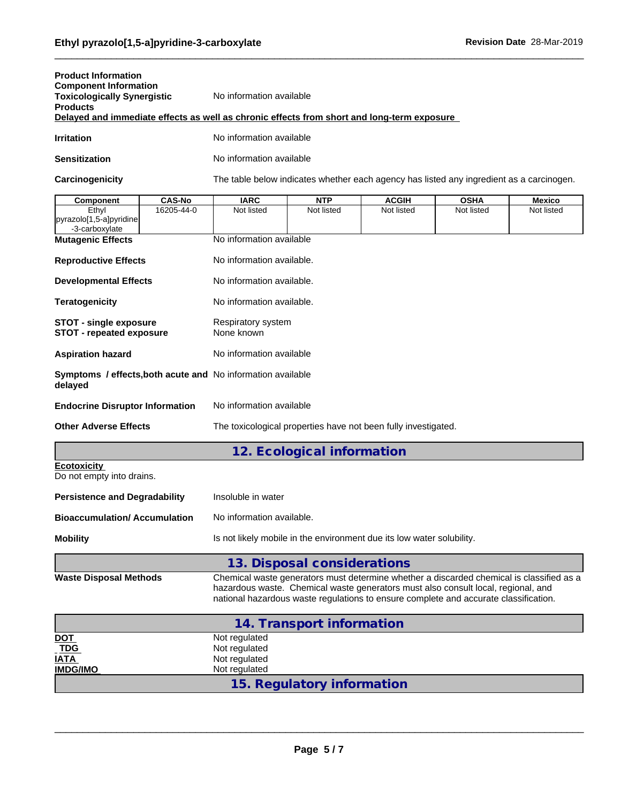| <b>Product Information</b>         |                                                                                            |
|------------------------------------|--------------------------------------------------------------------------------------------|
| <b>Component Information</b>       |                                                                                            |
| <b>Toxicologically Synergistic</b> | No information available                                                                   |
| <b>Products</b>                    |                                                                                            |
|                                    | Delayed and immediate effects as well as chronic effects from short and long-term exposure |
|                                    |                                                                                            |

**Irritation** No information available

**Sensitization** No information available

Carcinogenicity The table below indicates whether each agency has listed any ingredient as a carcinogen.

| <b>Component</b>                                                       | <b>CAS-No</b> | <b>IARC</b>                                                                                                                                                                                                                                                           | <b>NTP</b>                  | <b>ACGIH</b> | <b>OSHA</b> | <b>Mexico</b> |  |
|------------------------------------------------------------------------|---------------|-----------------------------------------------------------------------------------------------------------------------------------------------------------------------------------------------------------------------------------------------------------------------|-----------------------------|--------------|-------------|---------------|--|
| Ethyl<br>pyrazolo[1,5-a]pyridine                                       | 16205-44-0    | Not listed                                                                                                                                                                                                                                                            | Not listed                  | Not listed   | Not listed  | Not listed    |  |
| -3-carboxylate                                                         |               |                                                                                                                                                                                                                                                                       |                             |              |             |               |  |
| <b>Mutagenic Effects</b>                                               |               | No information available                                                                                                                                                                                                                                              |                             |              |             |               |  |
| <b>Reproductive Effects</b>                                            |               | No information available.                                                                                                                                                                                                                                             |                             |              |             |               |  |
| <b>Developmental Effects</b>                                           |               | No information available.                                                                                                                                                                                                                                             |                             |              |             |               |  |
| <b>Teratogenicity</b>                                                  |               | No information available.                                                                                                                                                                                                                                             |                             |              |             |               |  |
| <b>STOT - single exposure</b><br><b>STOT - repeated exposure</b>       |               | Respiratory system<br>None known                                                                                                                                                                                                                                      |                             |              |             |               |  |
| <b>Aspiration hazard</b>                                               |               | No information available                                                                                                                                                                                                                                              |                             |              |             |               |  |
| Symptoms / effects, both acute and No information available<br>delayed |               |                                                                                                                                                                                                                                                                       |                             |              |             |               |  |
| <b>Endocrine Disruptor Information</b>                                 |               | No information available                                                                                                                                                                                                                                              |                             |              |             |               |  |
| <b>Other Adverse Effects</b>                                           |               | The toxicological properties have not been fully investigated.                                                                                                                                                                                                        |                             |              |             |               |  |
|                                                                        |               |                                                                                                                                                                                                                                                                       | 12. Ecological information  |              |             |               |  |
| <b>Ecotoxicity</b><br>Do not empty into drains.                        |               |                                                                                                                                                                                                                                                                       |                             |              |             |               |  |
| <b>Persistence and Degradability</b>                                   |               | Insoluble in water                                                                                                                                                                                                                                                    |                             |              |             |               |  |
| <b>Bioaccumulation/ Accumulation</b>                                   |               | No information available.                                                                                                                                                                                                                                             |                             |              |             |               |  |
| <b>Mobility</b>                                                        |               | Is not likely mobile in the environment due its low water solubility.                                                                                                                                                                                                 |                             |              |             |               |  |
|                                                                        |               |                                                                                                                                                                                                                                                                       | 13. Disposal considerations |              |             |               |  |
| <b>Waste Disposal Methods</b>                                          |               | Chemical waste generators must determine whether a discarded chemical is classified as a<br>hazardous waste. Chemical waste generators must also consult local, regional, and<br>national hazardous waste regulations to ensure complete and accurate classification. |                             |              |             |               |  |
|                                                                        |               |                                                                                                                                                                                                                                                                       | 14. Transport information   |              |             |               |  |
| DOT                                                                    |               | Not regulated                                                                                                                                                                                                                                                         |                             |              |             |               |  |
| <b>TDG</b>                                                             |               | Not regulated                                                                                                                                                                                                                                                         |                             |              |             |               |  |
| IATA<br><b>IMDG/IMO</b>                                                |               | Not regulated<br>Not regulated                                                                                                                                                                                                                                        |                             |              |             |               |  |
|                                                                        |               |                                                                                                                                                                                                                                                                       |                             |              |             |               |  |
|                                                                        |               |                                                                                                                                                                                                                                                                       | 15. Regulatory information  |              |             |               |  |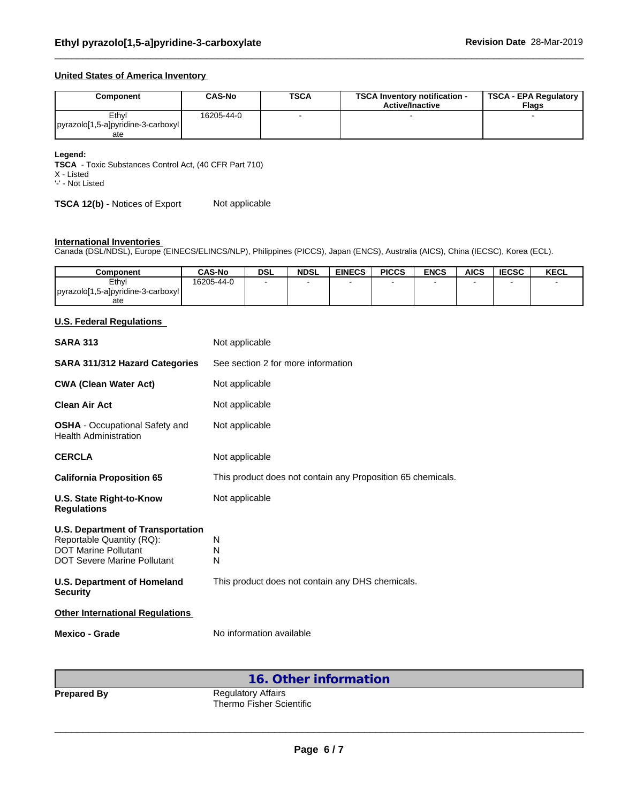# **United States of America Inventory**

| Component                           | CAS-No     | <b>TSCA</b> | <b>TSCA Inventory notification -</b><br><b>Active/Inactive</b> | TSCA - EPA Regulatory<br><b>Flags</b> |
|-------------------------------------|------------|-------------|----------------------------------------------------------------|---------------------------------------|
| Ethvl                               | 16205-44-0 |             |                                                                |                                       |
| pyrazolo[1,5-a] pyridine-3-carboxyl |            |             |                                                                |                                       |
| ate                                 |            |             |                                                                |                                       |

#### **Legend:**

**TSCA** - Toxic Substances Control Act, (40 CFR Part 710)

X - Listed '-' - Not Listed

**TSCA 12(b)** - Notices of Export Not applicable

#### **International Inventories**

Canada (DSL/NDSL), Europe (EINECS/ELINCS/NLP), Philippines (PICCS), Japan (ENCS), Australia (AICS), China (IECSC), Korea (ECL).

| Component                           | <b>CAS-No</b> | <b>DSL</b> | <b>NDSL</b> | <b>EINECS</b> | <b>PICCS</b> | <b>ENCS</b> | <b>AICS</b> | <b>IECSC</b> | <b>KECL</b> |
|-------------------------------------|---------------|------------|-------------|---------------|--------------|-------------|-------------|--------------|-------------|
| Ethvl                               | 16205-44-0    |            |             |               |              |             |             |              |             |
| pyrazolo[1,5-a] pyridine-3-carboxyl |               |            |             |               |              |             |             |              |             |
| ate                                 |               |            |             |               |              |             |             |              |             |

# **U.S. Federal Regulations**

| <b>SARA 313</b>                                                                                                                     | Not applicable                                              |
|-------------------------------------------------------------------------------------------------------------------------------------|-------------------------------------------------------------|
| <b>SARA 311/312 Hazard Categories</b>                                                                                               | See section 2 for more information                          |
| <b>CWA (Clean Water Act)</b>                                                                                                        | Not applicable                                              |
| Clean Air Act                                                                                                                       | Not applicable                                              |
| <b>OSHA</b> - Occupational Safety and<br><b>Health Administration</b>                                                               | Not applicable                                              |
| <b>CERCLA</b>                                                                                                                       | Not applicable                                              |
| <b>California Proposition 65</b>                                                                                                    | This product does not contain any Proposition 65 chemicals. |
| U.S. State Right-to-Know<br><b>Regulations</b>                                                                                      | Not applicable                                              |
| <b>U.S. Department of Transportation</b><br>Reportable Quantity (RQ):<br><b>DOT Marine Pollutant</b><br>DOT Severe Marine Pollutant | N<br>N<br>N                                                 |
| <b>U.S. Department of Homeland</b><br><b>Security</b>                                                                               | This product does not contain any DHS chemicals.            |
| <b>Other International Regulations</b>                                                                                              |                                                             |
| <b>Mexico - Grade</b>                                                                                                               | No information available                                    |

**16. Other information**

**Prepared By** Regulatory Affairs Thermo Fisher Scientific